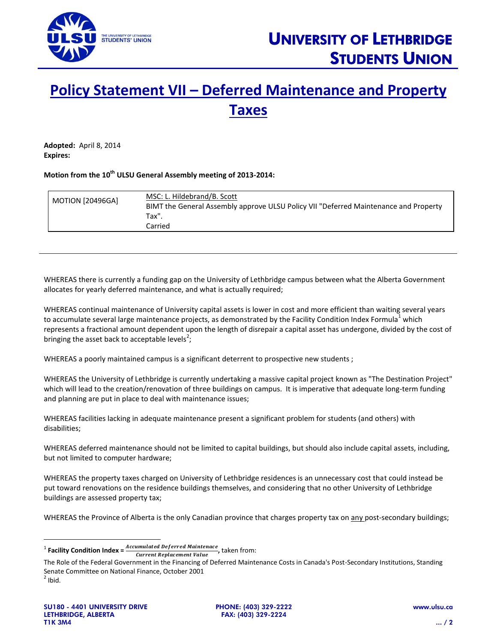

## **Policy Statement VII – Deferred Maintenance and Property Taxes**

**Adopted:** April 8, 2014 **Expires:**

## **Motion from the 10 th ULSU General Assembly meeting of 2013-2014:**

| <b>MOTION [20496GA]</b> | MSC: L. Hildebrand/B. Scott<br>BIMT the General Assembly approve ULSU Policy VII "Deferred Maintenance and Property |
|-------------------------|---------------------------------------------------------------------------------------------------------------------|
|                         | Tax".<br>Carried                                                                                                    |

WHEREAS there is currently a funding gap on the University of Lethbridge campus between what the Alberta Government allocates for yearly deferred maintenance, and what is actually required;

WHEREAS continual maintenance of University capital assets is lower in cost and more efficient than waiting several years to accumulate several large maintenance projects, as demonstrated by the Facility Condition Index Formula<sup>1</sup> which represents a fractional amount dependent upon the length of disrepair a capital asset has undergone, divided by the cost of bringing the asset back to acceptable levels<sup>2</sup>;

WHEREAS a poorly maintained campus is a significant deterrent to prospective new students ;

WHEREAS the University of Lethbridge is currently undertaking a massive capital project known as "The Destination Project" which will lead to the creation/renovation of three buildings on campus. It is imperative that adequate long-term funding and planning are put in place to deal with maintenance issues;

WHEREAS facilities lacking in adequate maintenance present a significant problem for students (and others) with disabilities;

WHEREAS deferred maintenance should not be limited to capital buildings, but should also include capital assets, including, but not limited to computer hardware;

WHEREAS the property taxes charged on University of Lethbridge residences is an unnecessary cost that could instead be put toward renovations on the residence buildings themselves, and considering that no other University of Lethbridge buildings are assessed property tax;

WHEREAS the Province of Alberta is the only Canadian province that charges property tax on any post-secondary buildings;

 $\overline{\phantom{a}}$ 

<sup>&</sup>lt;sup>1</sup> Facility Condition Index =  $\frac{Accumulated \: \textit{Deferred \: \textit{Maintenace}}}{Current \: \textit{Replacement \: \textit{Value}}},$  taken from:

The Role of the Federal Government in the Financing of Deferred Maintenance Costs in Canada's Post-Secondary Institutions, Standing Senate Committee on National Finance, October 2001

 $2$  Ibid.